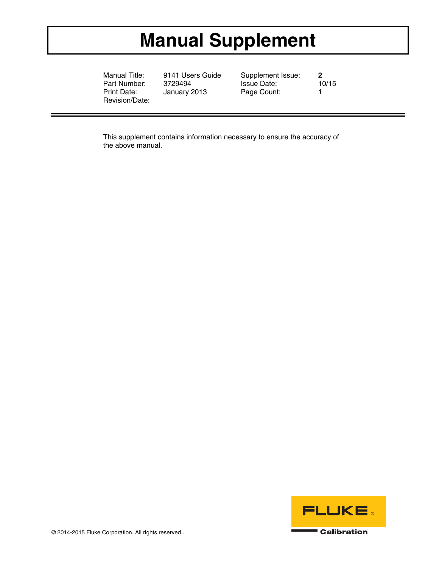## **Manual Supplement**

Manual Title: 9141 Users Guide Supplement Issue: **2**  Part Number: 3729494 Issue Date:<br>
Print Date: January 2013 Page Count: Revision/Date:

January 2013 Page Count: 1

This supplement contains information necessary to ensure the accuracy of the above manual.



© 2014-2015 Fluke Corporation. All rights reserved..